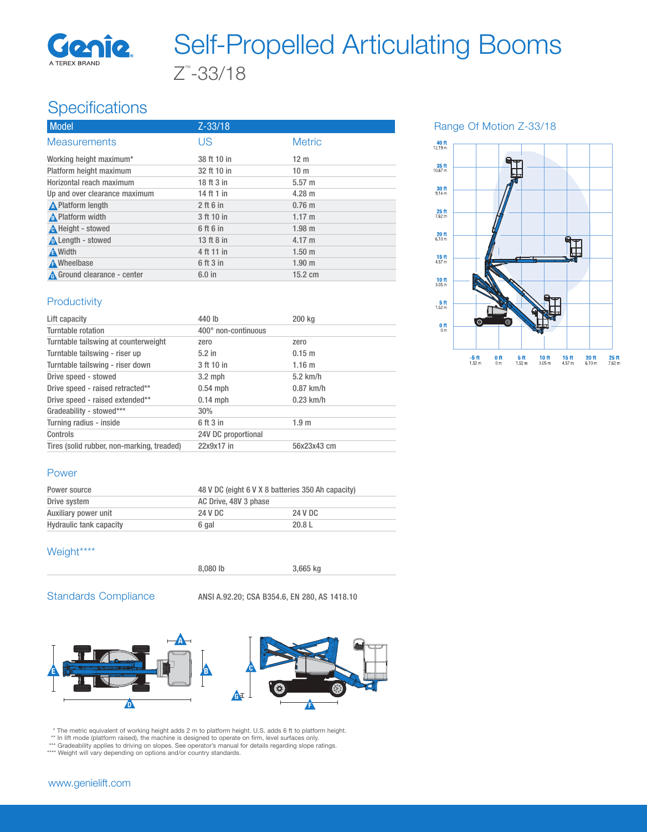

# Z ™ -33/18 Self-Propelled Articulating Booms

# **Specifications**

| <b>Model</b>                  | $Z - 33/18$ |                   |
|-------------------------------|-------------|-------------------|
| <b>Measurements</b>           | US          | <b>Metric</b>     |
| Working height maximum*       | 38 ft 10 in | 12 <sub>m</sub>   |
| Platform height maximum       | 32 ft 10 in | 10 <sub>m</sub>   |
| Horizontal reach maximum      | 18 ft 3 in  | $5.57 \; m$       |
| Up and over clearance maximum | 14 ft 1 in  | $4.28 \text{ m}$  |
| <b>A</b> Platform length      | $2$ ft 6 in | $0.76$ m          |
| A Platform width              | 3 ft 10 in  | $1.17 \text{ m}$  |
| A Height - stowed             | 6 ft 6 in   | $1.98$ m          |
| <b>A</b> Length - stowed      | 13 ft 8 in  | $4.17 \text{ m}$  |
| <b>A</b> Width                | 4 ft 11 in  | 1.50 <sub>m</sub> |
| <b>A</b> Wheelbase            | 6 ft 3 in   | 1.90 <sub>m</sub> |
| A Ground clearance - center   | $6.0$ in    | $15.2 \text{ cm}$ |

Range Of Motion Z-33/18



## **Productivity**

| Lift capacity                              | 440 lb              | 200 kg           |
|--------------------------------------------|---------------------|------------------|
| Turntable rotation                         | 400° non-continuous |                  |
| Turntable tailswing at counterweight       | zero                | zero             |
| Turntable tailswing - riser up             | $5.2$ in            | $0.15 \; m$      |
| Turntable tailswing - riser down           | 3 ft 10 in          | 1.16 m           |
| Drive speed - stowed                       | $3.2$ mph           | $5.2$ km/h       |
| Drive speed - raised retracted**           | $0.54$ mph          | $0.87$ km/h      |
| Drive speed - raised extended**            | $0.14$ mph          | $0.23$ km/h      |
| Gradeability - stowed***                   | 30%                 |                  |
| Turning radius - inside                    | 6 ft 3 in           | 1.9 <sub>m</sub> |
| Controls                                   | 24V DC proportional |                  |
| Tires (solid rubber, non-marking, treaded) | 22x9x17 in          | 56x23x43 cm      |

#### Power

| Power source            | 48 V DC (eight 6 V X 8 batteries 350 Ah capacity) |         |
|-------------------------|---------------------------------------------------|---------|
| Drive system            | AC Drive, 48V 3 phase                             |         |
| Auxiliary power unit    | 24 V DC                                           | 24 V DC |
| Hydraulic tank capacity | 6 gal                                             | 20.8 L  |

## Weight\*\*\*\*



8,080 lb 3,665 kg

Standards Compliance ANSI A.92.20; CSA B354.6, EN 280, AS 1418.10



\* The metric equivalent of working height adds 2 m to platform height. U.S. adds 6 ft to platform height.<br>\*\* In lift mode (platform raised), the machine is designed to operate on firm, level surfaces only.<br>\*\*\* Gradeability

www.genielift.com